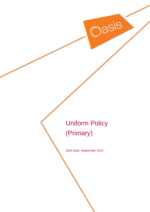# Uniform Policy (Primary)

Oasis

Start Date: September 2014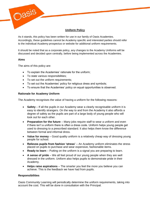

# **Uniform Policy**

As it stands, this policy has been written for use in our family of Oasis Academies. Accordingly, these guidelines cannot be Academy specific and interested parties should refer to the individual Academy prospectus or website for additional uniform requirements.

It should be noted that as a corporate policy, any changes to the Academy Uniforms will be discussed and decided upon centrally, before being implemented across the Academies.

# **Aims**

The aims of this policy are:

- To explain the Academies' rationale for the uniform;
- To state various responsibilities;
- To set out the uniform requirements;
- To set out the Academies' policy for religious dress and symbols;
- To ensure that the Academies' policy on equal opportunities is observed.

# **Rationale for Academy Uniform**

The Academy recognises the value of having a uniform for the following reasons:

- **Safety** If all the pupils in our Academy wear a clearly recognisable uniform it is easy to identify strangers. On the way to and from the Academy it also affords a degree of safety as the pupils are part of a large body of young people who will look out for each other.
- **Preparation for the future** Many jobs require staff to wear a uniform and even if there isn't a uniform there is often a dress code. Uniform helps young people get used to dressing to a prescribed standard. It also helps them know the difference between formal and informal dress.
- **Value for money**  Good quality uniform is a relatively cheap way of dressing young people for school.
- **Relieves pupils from fashion 'stress'** An Academy uniform eliminates the stress placed on pupils to purchase and wear expensive, fashionable items.
- **Ready to learn**  Putting on the uniform is a signal you are preparing to learn.
- **A sense of pride**  We all feel proud of our young people when they are well dressed in the uniform. Uniform also helps pupils to demonstrate pride in their Academy.
- **Helps raise aspirations** The smarter you feel the more you believe you can achieve. This is the feedback we have had from pupils.

## **Responsibilities**

Oasis Community Learning will periodically determine the uniform requirements, taking into account the cost. This will be done in consultation with the Principal.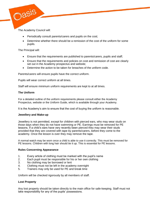

The Academy Council will:

- Periodically consult parents/carers and pupils on the cost;
- Determine whether there should be a remission of the cost of the uniform for some pupils.

The Principal will:

- Ensure that the requirements are published to parents/carers, pupils and staff;
- Ensure that the requirements and policies on cost and remission of cost are clearly set out in the Academy prospectus and website;
- Determine the action to be taken for breaches of the uniform code.

Parents/carers will ensure pupils have the correct uniform.

Pupils will wear correct uniform at all times.

Staff will ensure minimum uniform requirements are kept to at all times.

# **The Uniform**

For a detailed outline of the uniform requirements please consult either the Academy Prospectus, website or the Uniform Guide, which is available through your Academy.

It is the Academy's aim to ensure that the cost of buying the uniform is reasonable.

## **Jewellery and Make-up**

Jewellery is not permitted, except for children with pierced ears, who may wear studs on those days when they do not have swimming or PE. Earrings must be removed for PE lessons. If a child's ears have very recently been pierced they may wear their studs provided that they are covered with tape by parents/carers, before they come to the academy. Once the lesson is over they may remove the tape.

A normal watch may be worn once a child is able to use it correctly. This must be removed for PE lessons. Children with long hair should tie it up. This is essential for PE lessons.

## **Rules Concerning Appearance**

- 1. Every article of clothing must be marked with the pupil's name
- 2. Each pupil must be responsible for his or her own clothing
- 3. No clothing may be borrowed or lent
- 4. Clothing must not be left in the academy overnight
- 5. Trainers may only be used for PE and break time

Uniform will be checked rigorously by all members of staff.

# **Lost Property**

Any lost property should be taken directly to the main office for safe-keeping. Staff must not take responsibility for any of the pupils' possessions.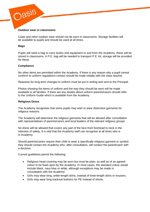#### **Outdoor wear in classrooms**

Coats and other outdoor wear should not be worn in classrooms. Storage facilities will be available to pupils and should be used at all times.

#### **Bags**

Pupils will need a bag to carry books and equipment to and from the Academy; these will be stored in classrooms. A P.E. bag will be needed to transport P.E. kit, storage will be provided for these.

#### **Compliance**

**Dasis** 

No other items are permitted within the Academy. If there is any reason why a pupil cannot conform to uniform regulations contact should be made initially with the class teacher.

Requests for long term changes to uniform must be put in writing and sent to the Principal.

Photos showing the items of uniform and the way they should be worn will be made available to all families. If there are any doubts about uniform parents/carers should refer to the Uniform Guide which is available from the Academy.

#### **Religious Dress**

The Academy recognises that some pupils may wish to wear distinctive garments for religious reasons.

The Academy will determine the religious garments that will be allowed after consultation with representatives of parents/carers and local leaders of the relevant religious groups.

No dress will be allowed that covers any part of the face from forehead to neck in the interests of safety. It is vital that the Academy staff can recognise at all times who is in Academy.

Should parents/carers require their child to wear a specifically religious garment or symbol, they should contact the Academy who, after consultation, will contact the parent/carer with a decision.

Current guidelines permit the following:

- Religious head covering may be worn but must be plain, as well as of an agreed colour to be fixed upon by the Academy. In most cases, the standard colour would include black, navy blue or white, although exceptions may be made in consultation with the Academy.
- Girls may wear long, ankle-length skirts, instead of knee-length skirts or trousers.
- Girls may wear long tracksuit bottoms for PE instead of shorts.